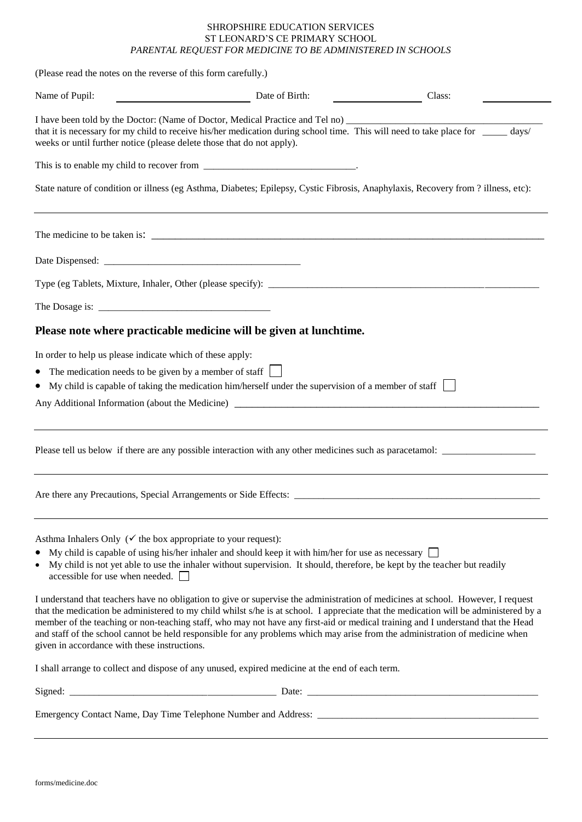## SHROPSHIRE EDUCATION SERVICES ST LEONARD'S CE PRIMARY SCHOOL *PARENTAL REQUEST FOR MEDICINE TO BE ADMINISTERED IN SCHOOLS*

(Please read the notes on the reverse of this form carefully.)

| Name of Pupil:                                                                                                                               | Date of Birth:                                                                                                                                                                                                                                                                                                                                                                                                                                                                                                                                                                                                                                         | Class: |  |
|----------------------------------------------------------------------------------------------------------------------------------------------|--------------------------------------------------------------------------------------------------------------------------------------------------------------------------------------------------------------------------------------------------------------------------------------------------------------------------------------------------------------------------------------------------------------------------------------------------------------------------------------------------------------------------------------------------------------------------------------------------------------------------------------------------------|--------|--|
| weeks or until further notice (please delete those that do not apply).                                                                       | I have been told by the Doctor: (Name of Doctor, Medical Practice and Tel no) ________________________________<br>that it is necessary for my child to receive his/her medication during school time. This will need to take place for _____ days/                                                                                                                                                                                                                                                                                                                                                                                                     |        |  |
|                                                                                                                                              |                                                                                                                                                                                                                                                                                                                                                                                                                                                                                                                                                                                                                                                        |        |  |
|                                                                                                                                              | State nature of condition or illness (eg Asthma, Diabetes; Epilepsy, Cystic Fibrosis, Anaphylaxis, Recovery from ? illness, etc):                                                                                                                                                                                                                                                                                                                                                                                                                                                                                                                      |        |  |
|                                                                                                                                              |                                                                                                                                                                                                                                                                                                                                                                                                                                                                                                                                                                                                                                                        |        |  |
|                                                                                                                                              |                                                                                                                                                                                                                                                                                                                                                                                                                                                                                                                                                                                                                                                        |        |  |
|                                                                                                                                              |                                                                                                                                                                                                                                                                                                                                                                                                                                                                                                                                                                                                                                                        |        |  |
|                                                                                                                                              |                                                                                                                                                                                                                                                                                                                                                                                                                                                                                                                                                                                                                                                        |        |  |
|                                                                                                                                              | Please note where practicable medicine will be given at lunchtime.                                                                                                                                                                                                                                                                                                                                                                                                                                                                                                                                                                                     |        |  |
| In order to help us please indicate which of these apply:<br>The medication needs to be given by a member of staff<br>$\bullet$<br>$\bullet$ | My child is capable of taking the medication him/herself under the supervision of a member of staff $\Box$<br>Any Additional Information (about the Medicine)                                                                                                                                                                                                                                                                                                                                                                                                                                                                                          |        |  |
|                                                                                                                                              |                                                                                                                                                                                                                                                                                                                                                                                                                                                                                                                                                                                                                                                        |        |  |
|                                                                                                                                              |                                                                                                                                                                                                                                                                                                                                                                                                                                                                                                                                                                                                                                                        |        |  |
| Asthma Inhalers Only ( $\checkmark$ the box appropriate to your request):<br>accessible for use when needed.                                 | My child is capable of using his/her inhaler and should keep it with him/her for use as necessary $\Box$<br>• My child is not yet able to use the inhaler without supervision. It should, therefore, be kept by the teacher but readily<br>I understand that teachers have no obligation to give or supervise the administration of medicines at school. However, I request<br>that the medication be administered to my child whilst s/he is at school. I appreciate that the medication will be administered by a<br>member of the teaching or non-teaching staff, who may not have any first-aid or medical training and I understand that the Head |        |  |
| given in accordance with these instructions.                                                                                                 | and staff of the school cannot be held responsible for any problems which may arise from the administration of medicine when                                                                                                                                                                                                                                                                                                                                                                                                                                                                                                                           |        |  |
|                                                                                                                                              | I shall arrange to collect and dispose of any unused, expired medicine at the end of each term.                                                                                                                                                                                                                                                                                                                                                                                                                                                                                                                                                        |        |  |
|                                                                                                                                              |                                                                                                                                                                                                                                                                                                                                                                                                                                                                                                                                                                                                                                                        |        |  |
|                                                                                                                                              |                                                                                                                                                                                                                                                                                                                                                                                                                                                                                                                                                                                                                                                        |        |  |